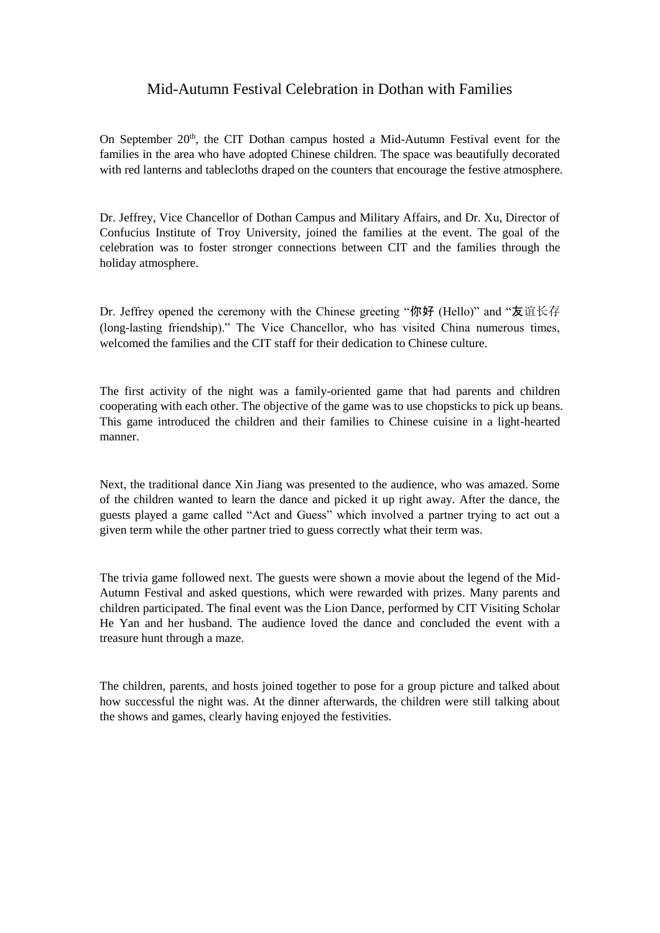## Mid-Autumn Festival Celebration in Dothan with Families

On September 20<sup>th</sup>, the CIT Dothan campus hosted a Mid-Autumn Festival event for the families in the area who have adopted Chinese children. The space was beautifully decorated with red lanterns and tablecloths draped on the counters that encourage the festive atmosphere.

Dr. Jeffrey, Vice Chancellor of Dothan Campus and Military Affairs, and Dr. Xu, Director of Confucius Institute of Troy University, joined the families at the event. The goal of the celebration was to foster stronger connections between CIT and the families through the holiday atmosphere.

Dr. Jeffrey opened the ceremony with the Chinese greeting "你好 (Hello)" and "友谊长存 (long-lasting friendship)." The Vice Chancellor, who has visited China numerous times, welcomed the families and the CIT staff for their dedication to Chinese culture.

The first activity of the night was a family-oriented game that had parents and children cooperating with each other. The objective of the game was to use chopsticks to pick up beans. This game introduced the children and their families to Chinese cuisine in a light-hearted manner.

Next, the traditional dance Xin Jiang was presented to the audience, who was amazed. Some of the children wanted to learn the dance and picked it up right away. After the dance, the guests played a game called "Act and Guess" which involved a partner trying to act out a given term while the other partner tried to guess correctly what their term was.

The trivia game followed next. The guests were shown a movie about the legend of the Mid-Autumn Festival and asked questions, which were rewarded with prizes. Many parents and children participated. The final event was the Lion Dance, performed by CIT Visiting Scholar He Yan and her husband. The audience loved the dance and concluded the event with a treasure hunt through a maze.

The children, parents, and hosts joined together to pose for a group picture and talked about how successful the night was. At the dinner afterwards, the children were still talking about the shows and games, clearly having enjoyed the festivities.